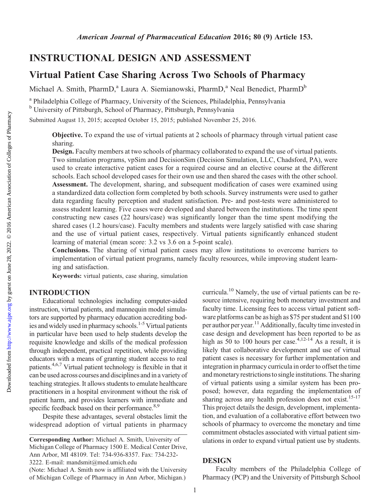# INSTRUCTIONAL DESIGN AND ASSESSMENT

## Virtual Patient Case Sharing Across Two Schools of Pharmacy

Michael A. Smith, PharmD,<sup>a</sup> Laura A. Siemianowski, PharmD,<sup>a</sup> Neal Benedict, PharmD<sup>b</sup>

<sup>a</sup> Philadelphia College of Pharmacy, University of the Sciences, Philadelphia, Pennsylvania <sup>b</sup> University of Pittsburgh, School of Pharmacy, Pittsburgh, Pennsylvania

Submitted August 13, 2015; accepted October 15, 2015; published November 25, 2016.

Objective. To expand the use of virtual patients at 2 schools of pharmacy through virtual patient case sharing.

Design. Faculty members at two schools of pharmacy collaborated to expand the use of virtual patients. Two simulation programs, vpSim and DecisionSim (Decision Simulation, LLC, Chadsford, PA), were used to create interactive patient cases for a required course and an elective course at the different schools. Each school developed cases for their own use and then shared the cases with the other school. Assessment. The development, sharing, and subsequent modification of cases were examined using a standardized data collection form completed by both schools. Survey instruments were used to gather data regarding faculty perception and student satisfaction. Pre- and post-tests were administered to assess student learning. Five cases were developed and shared between the institutions. The time spent constructing new cases (22 hours/case) was significantly longer than the time spent modifying the shared cases (1.2 hours/case). Faculty members and students were largely satisfied with case sharing and the use of virtual patient cases, respectively. Virtual patients significantly enhanced student learning of material (mean score: 3.2 vs 3.6 on a 5-point scale).

Conclusions. The sharing of virtual patient cases may allow institutions to overcome barriers to implementation of virtual patient programs, namely faculty resources, while improving student learning and satisfaction.

Keywords: virtual patients, case sharing, simulation

## INTRODUCTION

Educational technologies including computer-aided instruction, virtual patients, and mannequin model simulators are supported by pharmacy education accrediting bodies and widely used in pharmacy schools.<sup>1-5</sup> Virtual patients in particular have been used to help students develop the requisite knowledge and skills of the medical profession through independent, practical repetition, while providing educators with a means of granting student access to real patients.4,6,7 Virtual patient technology is flexible in that it can be used across courses and disciplines andin a variety of teaching strategies. It allows students to emulate healthcare practitioners in a hospital environment without the risk of patient harm, and provides learners with immediate and specific feedback based on their performance.<sup>8,9</sup>

Despite these advantages, several obstacles limit the widespread adoption of virtual patients in pharmacy curricula.10 Namely, the use of virtual patients can be resource intensive, requiring both monetary investment and faculty time. Licensing fees to access virtual patient software platforms can be as high as \$75 per student and \$1100 per author per year.<sup>11</sup> Additionally, faculty time invested in case design and development has been reported to be as high as 50 to 100 hours per case.<sup>4,12-14</sup> As a result, it is likely that collaborative development and use of virtual patient cases is necessary for further implementation and integration in pharmacy curricula in order to offset the time and monetary restrictionsto single institutions. The sharing of virtual patients using a similar system has been proposed; however, data regarding the implementation of sharing across any health profession does not exist.<sup>15-17</sup> This project details the design, development, implementation, and evaluation of a collaborative effort between two schools of pharmacy to overcome the monetary and time commitment obstacles associated with virtual patient simulations in order to expand virtual patient use by students.

#### **DESIGN**

Faculty members of the Philadelphia College of Pharmacy (PCP) and the University of Pittsburgh School

Corresponding Author: Michael A. Smith, University of Michigan College of Pharmacy 1500 E. Medical Center Drive, Ann Arbor, MI 48109. Tel: 734-936-8357. Fax: 734-232- 3222. E-mail: [mandsmit@med.umich.edu](mailto:mandsmit@med.umich.edu)

<sup>(</sup>Note: Michael A. Smith now is affiliated with the University of Michigan College of Pharmacy in Ann Arbor, Michigan.)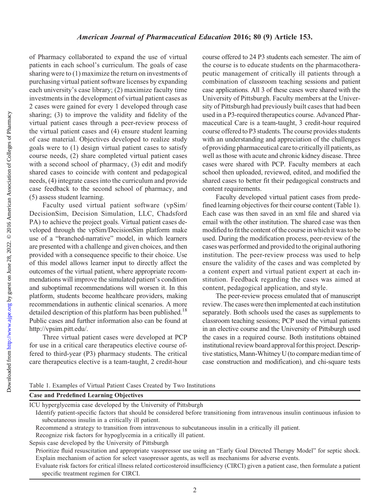of Pharmacy collaborated to expand the use of virtual patients in each school's curriculum. The goals of case sharing were to (1) maximize the return on investments of purchasing virtual patient software licenses by expanding each university's case library; (2) maximize faculty time investments in the development of virtual patient cases as 2 cases were gained for every 1 developed through case sharing; (3) to improve the validity and fidelity of the virtual patient cases through a peer-review process of the virtual patient cases and (4) ensure student learning of case material. Objectives developed to realize study goals were to (1) design virtual patient cases to satisfy course needs, (2) share completed virtual patient cases with a second school of pharmacy, (3) edit and modify shared cases to coincide with content and pedagogical needs, (4) integrate cases into the curriculum and provide case feedback to the second school of pharmacy, and (5) assess student learning.

Faculty used virtual patient software (vpSim/ DecisionSim, Decision Simulation, LLC, Chadsford PA) to achieve the project goals. Virtual patient cases developed through the vpSim/DecisionSim platform make use of a "branched-narrative" model, in which learners are presented with a challenge and given choices, and then provided with a consequence specific to their choice. Use of this model allows learner input to directly affect the outcomes of the virtual patient, where appropriate recommendations will improve the simulated patient's condition and suboptimal recommendations will worsen it. In this platform, students become healthcare providers, making recommendations in authentic clinical scenarios. A more detailed description of this platform has been published.<sup>18</sup> Public cases and further information also can be found at [http://vpsim.pitt.edu/.](http://vpsim.pitt.edu/)

Three virtual patient cases were developed at PCP for use in a critical care therapeutics elective course offered to third-year (P3) pharmacy students. The critical care therapeutics elective is a team-taught, 2 credit-hour course offered to 24 P3 students each semester. The aim of the course is to educate students on the pharmacotherapeutic management of critically ill patients through a combination of classroom teaching sessions and patient case applications. All 3 of these cases were shared with the University of Pittsburgh. Faculty members at the University of Pittsburgh had previously built cases that had been used in a P3-required therapeutics course. Advanced Pharmaceutical Care is a team-taught, 3 credit-hour required course offered to P3 students. The course provides students with an understanding and appreciation of the challenges of providing pharmaceutical careto criticallyill patients, as well as those with acute and chronic kidney disease. Three cases were shared with PCP. Faculty members at each school then uploaded, reviewed, edited, and modified the shared cases to better fit their pedagogical constructs and content requirements.

Faculty developed virtual patient cases from predefined learning objectives for their course content (Table 1). Each case was then saved in an xml file and shared via email with the other institution. The shared case was then modified to fit the content of the course in which it was to be used. During the modification process, peer-review of the cases was performed and provided to the original authoring institution. The peer-review process was used to help ensure the validity of the cases and was completed by a content expert and virtual patient expert at each institution. Feedback regarding the cases was aimed at content, pedagogical application, and style.

The peer-review process emulated that of manuscript review. The cases were then implemented at each institution separately. Both schools used the cases as supplements to classroom teaching sessions; PCP used the virtual patients in an elective course and the University of Pittsburgh used the cases in a required course. Both institutions obtained institutional review board approval for this project. Descriptive statistics,Mann-Whitney U (to compare mediantime of case construction and modification), and chi-square tests

Table 1. Examples of Virtual Patient Cases Created by Two Institutions

|  | <b>Case and Predefined Learning Objectives</b> |  |  |
|--|------------------------------------------------|--|--|
|--|------------------------------------------------|--|--|

ICU hyperglycemia case developed by the University of Pittsburgh

Identify patient-specific factors that should be considered before transitioning from intravenous insulin continuous infusion to subcutaneous insulin in a critically ill patient.

Recommend a strategy to transition from intravenous to subcutaneous insulin in a critically ill patient.

Recognize risk factors for hypoglycemia in a critically ill patient.

Sepsis case developed by the University of Pittsburgh

Prioritize fluid resuscitation and appropriate vasopressor use using an "Early Goal Directed Therapy Model" for septic shock. Explain mechanism of action for select vasopressor agents, as well as mechanisms for adverse events.

Evaluate risk factors for critical illness related corticosteroid insufficiency (CIRCI) given a patient case, then formulate a patient specific treatment regimen for CIRCI.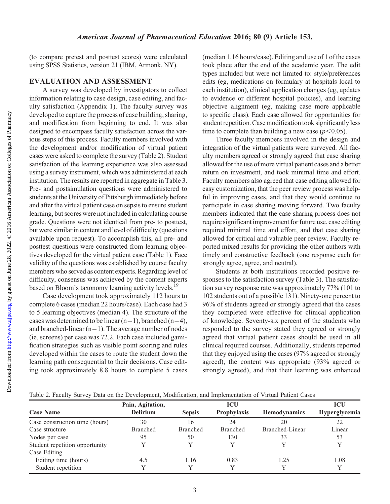(to compare pretest and posttest scores) were calculated using SPSS Statistics, version 21 (IBM, Armonk, NY).

### EVALUATION AND ASSESSMENT

A survey was developed by investigators to collect information relating to case design, case editing, and faculty satisfaction (Appendix 1). The faculty survey was developed to capture the process of case building, sharing, and modification from beginning to end. It was also designed to encompass faculty satisfaction across the various steps of this process. Faculty members involved with the development and/or modification of virtual patient cases were asked to complete the survey (Table 2). Student satisfaction of the learning experience was also assessed using a survey instrument, which was administered at each institution. The results are reported in aggregate in Table 3. Pre- and postsimulation questions were administered to students at the University of Pittsburgh immediately before and after the virtual patient case on sepsis to ensure student learning, but scores were not included in calculating course grade. Questions were not identical from pre- to posttest, but were similar in content and level of difficulty (questions available upon request). To accomplish this, all pre- and posttest questions were constructed from learning objectives developed for the virtual patient case (Table 1). Face validity of the questions was established by course faculty members who served as content experts. Regarding level of difficulty, consensus was achieved by the content experts based on Bloom's taxonomy learning activity levels.<sup>19</sup>

Case development took approximately 112 hours to complete 6 cases (median 22 hours/case). Each case had 3 to 5 learning objectives (median 4). The structure of the cases was determined to be linear  $(n=1)$ , branched  $(n=4)$ , and branched-linear  $(n=1)$ . The average number of nodes (ie, screens) per case was 72.2. Each case included gamification strategies such as visible point scoring and rules developed within the cases to route the student down the learning path consequential to their decisions. Case editing took approximately 8.8 hours to complete 5 cases (median 1.16 hours/case). Editing and use of 1 of the cases took place after the end of the academic year. The edit types included but were not limited to: style/preferences edits (eg, medications on formulary at hospitals local to each institution), clinical application changes (eg, updates to evidence or different hospital policies), and learning objective alignment (eg, making case more applicable to specific class). Each case allowed for opportunities for student repetition. Case modification took significantly less time to complete than building a new case  $(p<0.05)$ .

Three faculty members involved in the design and integration of the virtual patients were surveyed. All faculty members agreed or strongly agreed that case sharing allowed forthe use of more virtual patient cases and a better return on investment, and took minimal time and effort. Faculty members also agreed that case editing allowed for easy customization, that the peer review process was helpful in improving cases, and that they would continue to participate in case sharing moving forward. Two faculty members indicated that the case sharing process does not require significant improvement for future use, case editing required minimal time and effort, and that case sharing allowed for critical and valuable peer review. Faculty reported mixed results for providing the other authors with timely and constructive feedback (one response each for strongly agree, agree, and neutral).

Students at both institutions recorded positive responses to the satisfaction survey (Table 3). The satisfaction survey response rate was approximately 77% (101 to 102 students out of a possible 131). Ninety-one percent to 96% of students agreed or strongly agreed that the cases they completed were effective for clinical application of knowledge. Seventy-six percent of the students who responded to the survey stated they agreed or strongly agreed that virtual patient cases should be used in all clinical required courses. Additionally, students reported that they enjoyed using the cases (97% agreed or strongly agreed), the content was appropriate (93% agreed or strongly agreed), and that their learning was enhanced

Table 2. Faculty Survey Data on the Development, Modification, and Implementation of Virtual Patient Cases

|                                | Pain, Agitation, |                 | <b>ICU</b>      |                 | <b>ICU</b>    |
|--------------------------------|------------------|-----------------|-----------------|-----------------|---------------|
| <b>Case Name</b>               | <b>Delirium</b>  | <b>Sepsis</b>   | Prophylaxis     | Hemodynamics    | Hyperglycemia |
| Case construction time (hours) | 30               | 16              | 24              | 20              | 22            |
| Case structure                 | <b>Branched</b>  | <b>Branched</b> | <b>Branched</b> | Branched-Linear | Linear        |
| Nodes per case                 | 95               | 50              | 130             | 33              | 53            |
| Student repetition opportunity |                  |                 |                 |                 |               |
| Case Editing                   |                  |                 |                 |                 |               |
| Editing time (hours)           | 4.5              | 1.16            | 0.83            | 1.25            | 1.08          |
| Student repetition             |                  | v               |                 |                 | V             |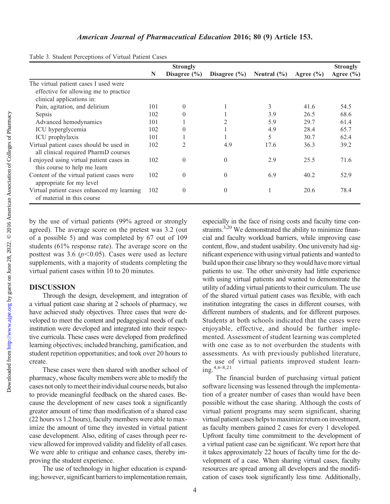|                                                                          |     | <b>Strongly</b>  |                  |                 |               | <b>Strongly</b> |
|--------------------------------------------------------------------------|-----|------------------|------------------|-----------------|---------------|-----------------|
|                                                                          | N   | Disagree $(\% )$ | Disagree $(\% )$ | Neutral $(\% )$ | Agree $(\% )$ | Agree $(\% )$   |
| The virtual patient cases I used were                                    |     |                  |                  |                 |               |                 |
| effective for allowing me to practice                                    |     |                  |                  |                 |               |                 |
| clinical applications in:                                                |     |                  |                  |                 |               |                 |
| Pain, agitation, and delirium                                            | 101 | $\overline{0}$   |                  | 3               | 41.6          | 54.5            |
| Sepsis                                                                   | 102 | $\theta$         |                  | 3.9             | 26.5          | 68.6            |
| Advanced hemodynamics                                                    | 101 |                  | $\overline{2}$   | 5.9             | 29.7          | 61.4            |
| ICU hyperglycemia                                                        | 102 | $\theta$         |                  | 4.9             | 28.4          | 65.7            |
| ICU prophylaxis                                                          | 101 |                  |                  | 5               | 30.7          | 62.4            |
| Virtual patient cases should be used in                                  |     | 2                | 4.9              | 17.6            | 36.3          | 39.2            |
| all clinical required PharmD courses                                     |     |                  |                  |                 |               |                 |
| I enjoyed using virtual patient cases in                                 |     | $\theta$         | $\theta$         | 2.9             | 25.5          | 71.6            |
| this course to help me learn                                             |     |                  |                  |                 |               |                 |
| Content of the virtual patient cases were<br>appropriate for my level    |     | $\overline{0}$   | $\theta$         | 6.9             | 40.2          | 52.9            |
| Virtual patient cases enhanced my learning<br>of material in this course |     | $\theta$         | $\theta$         |                 | 20.6          | 78.4            |

Table 3. Student Perceptions of Virtual Patient Cases

by the use of virtual patients (99% agreed or strongly agreed). The average score on the pretest was 3.2 (out of a possible 5) and was completed by 67 out of 109 students (61% response rate). The average score on the posttest was 3.6 ( $p$ <0.05). Cases were used as lecture supplements, with a majority of students completing the virtual patient cases within 10 to 20 minutes.

## DISCUSSION

Through the design, development, and integration of a virtual patient case sharing at 2 schools of pharmacy, we have achieved study objectives. Three cases that were developed to meet the content and pedagogical needs of each institution were developed and integrated into their respective curricula. These cases were developed from predefined learning objectives; included branching, gamification, and student repetition opportunities; and took over 20 hours to create.

These cases were then shared with another school of pharmacy, whose faculty members were able to modify the cases not only to meet their individual course needs, but also to provide meaningful feedback on the shared cases. Because the development of new cases took a significantly greater amount of time than modification of a shared case (22 hours vs 1.2 hours), faculty members were able to maximize the amount of time they invested in virtual patient case development. Also, editing of cases through peer review allowed for improved validity and fidelity of all cases. We were able to critique and enhance cases, thereby improving the student experience.

The use of technology in higher education is expanding; however, significant barriers to implementation remain,

especially in the face of rising costs and faculty time constraints.<sup>3,20</sup> We demonstrated the ability to minimize financial and faculty workload barriers, while improving case content, flow, and student usability. One university had significant experience with using virtual patients and wanted to build upon their case library so they would have more virtual patients to use. The other university had little experience with using virtual patients and wanted to demonstrate the utility of adding virtual patients to their curriculum. The use of the shared virtual patient cases was flexible, with each institution integrating the cases in different courses, with different numbers of students, and for different purposes. Students at both schools indicated that the cases were enjoyable, effective, and should be further implemented. Assessment of student learning was completed with one case as to not overburden the students with assessments. As with previously published literature, the use of virtual patients improved student learning.4,6-8,21

The financial burden of purchasing virtual patient software licensing was lessened through the implementation of a greater number of cases than would have been possible without the case sharing. Although the costs of virtual patient programs may seem significant, sharing virtual patient cases helps to maximize return on investment, as faculty members gained 2 cases for every 1 developed. Upfront faculty time commitment to the development of a virtual patient case can be significant. We report here that it takes approximately 22 hours of faculty time for the development of a case. When sharing virtual cases, faculty resources are spread among all developers and the modification of cases took significantly less time. Additionally,